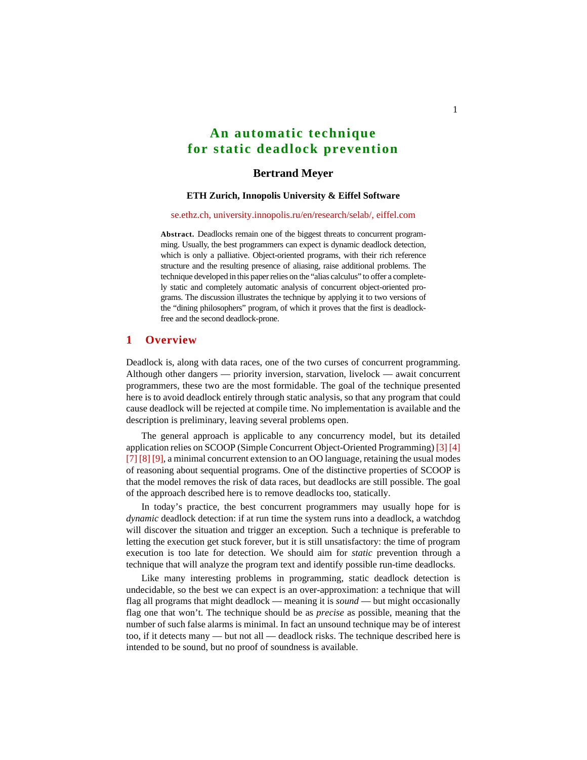# **An automatic technique for static deadlock prevention**

### **Bertrand Meyer**

#### **[ETH Z](http://se.ethz.ch)[urich, Innopolis University & Eiffel Sof](http://university.innopolis.ru/en/research/selab/)[tware](http://eiffel.com)**

#### se.ethz.ch, university.innopolis.ru/en/research/selab/, eiffel.com

**Abstract.** Deadlocks remain one of the biggest threats to concurrent programming. Usually, the best programmers can expect is dynamic deadlock detection, which is only a palliative. Object-oriented programs, with their rich reference structure and the resulting presence of aliasing, raise additional problems. The technique developed in this paper relies on the "alias calculus" to offer a completely static and completely automatic analysis of concurrent object-oriented programs. The discussion illustrates the technique by applying it to two versions of the "dining philosophers" program, of which it proves that the first is deadlockfree and the second deadlock-prone.

#### <span id="page-0-0"></span>**1 Overview**

Deadlock is, along with data races, one of the two curses of concurrent programming. Although other dangers — priority inversion, starvation, livelock — await concurrent programmers, these two are the most formidable. The goal of the technique presented here is to avoid deadlock entirely through static analysis, so that any program that could cause deadlock will be rejected at compile time. No implementation is available and the description is preliminary, leaving several problems open.

[Th](#page-13-1)[e g](#page-13-0)eneral approach is applicable to any concurrency model, but its detailed application relies on SCOOP (Simple Concurrent Object-Oriented Programming) [3] [4] [7] [8] [9], a minimal concurrent extension to an OO language, retaining the usual modes of reasoning about sequential programs. One of the distinctive properties of SCOOP is that the model removes the risk of data races, but deadlocks are still possible. The goal of the approach described here is to remove deadlocks too, statically.

In today's practice, the best concurrent programmers may usually hope for is *dynamic* deadlock detection: if at run time the system runs into a deadlock, a watchdog will discover the situation and trigger an exception. Such a technique is preferable to letting the execution get stuck forever, but it is still unsatisfactory: the time of program execution is too late for detection. We should aim for *static* prevention through a technique that will analyze the program text and identify possible run-time deadlocks.

Like many interesting problems in programming, static deadlock detection is undecidable, so the best we can expect is an over-approximation: a technique that will flag all programs that might deadlock — meaning it is *sound* — but might occasionally flag one that won't. The technique should be as *precise* as possible, meaning that the number of such false alarms is minimal. In fact an unsound technique may be of interest too, if it detects many — but not all — deadlock risks. The technique described here is intended to be sound, but no proof of soundness is available.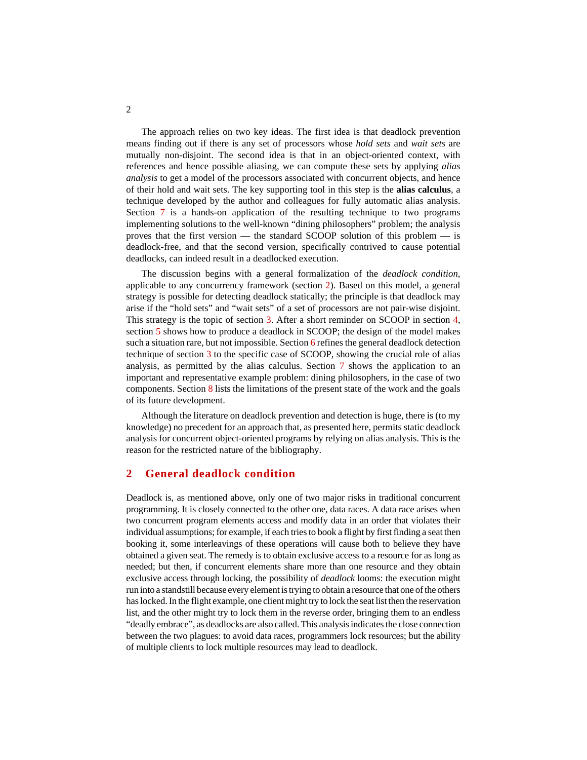The approach relies on two key ideas. The first idea is that deadlock prevention means finding out if there is any set of processors whose *hold sets* and *wait sets* are mutually non-disjoint. The second idea is that in an object-oriented context, with references and hence possible aliasing, we can compute these sets by applying *alias analysis* to get a model of the processors associated with concurrent objects, and hence of their [ho](#page-10-0)ld and wait sets. The key supporting tool in this step is the **alias calculus**, a technique developed by the author and colleagues for fully automatic alias analysis. Section 7 is a hands-on application of the resulting technique to two programs implementing solutions to the well-known "dining philosophers" problem; the analysis proves that the first version — the standard SCOOP solution of this problem — is deadlock-free, and that the second version, specifically contrived to cause potential deadlocks, can indeed result in a deadlocked execut[io](#page-1-0)n.

The discussion begins with a general formalization of the *deadlock condition*, applicable to any concurrency framework (section 2). Based on this model, a general strategy is possible for detecting de[ad](#page-3-0)lock statically; the principle is that deadlock m[ay](#page-3-1) arise if [th](#page-7-0)e "hold sets" and "wait sets" of a set of processors are not pair-wise disjoint. This strategy is the topic of section 3. After a [sh](#page-8-0)ort reminder on SCOOP in section 4, section 5 shows ho[w t](#page-3-0)o produce a deadlock in SCOOP; the design of the model makes such a situation rare, but not impossible. Section 6 refin[es](#page-10-0) the general deadlock detection technique of section 3 to the specific case of SCOOP, showing the crucial role of alias analysis, as permitte[d](#page-13-2) by the alias calculus. Section 7 shows the application to an important and representative example problem: dining philosophers, in the case of two components. Section 8 lists the limitations of the present state of the work and the goals of its future development.

Although the literature on deadlock prevention and detection is huge, there is (to my knowledge) no precedent for an approach that, as presented here, permits static deadlock analysis for concurrent object-oriented programs by relying on alias analysis. This is the reason for the restricted nature of the bibliography.

### <span id="page-1-0"></span>**2 General deadlock condition**

Deadlock is, as mentioned above, only one of two major risks in traditional concurrent programming. It is closely connected to the other one, data races. A data race arises when two concurrent program elements access and modify data in an order that violates their individual assumptions; for example, if each tries to book a flight by first finding a seat then booking it, some interleavings of these operations will cause both to believe they have obtained a given seat. The remedy is to obtain exclusive access to a resource for as long as needed; but then, if concurrent elements share more than one resource and they obtain exclusive access through locking, the possibility of *deadlock* looms: the execution might run into a standstill because every element is trying to obtain a resource that one of the others has locked. In the flight example, one client might try to lock the seat list then the reservation list, and the other might try to lock them in the reverse order, bringing them to an endless "deadly embrace", as deadlocks are also called. This analysis indicates the close connection between the two plagues: to avoid data races, programmers lock resources; but the ability of multiple clients to lock multiple resources may lead to deadlock.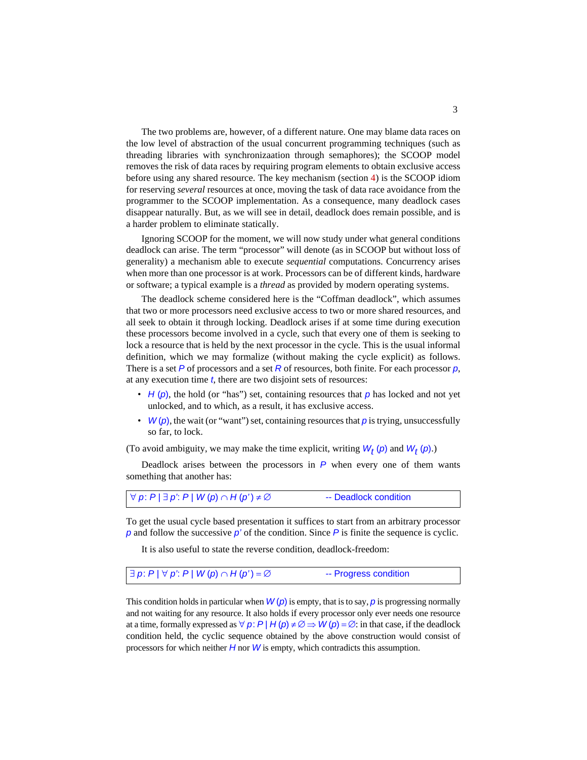The two problems are, however, of a different nature. One may blame data races on the low level of abstraction of the usual concurrent programming techniques (such as threading libraries with synchronizaation through semaphore[s\)](#page-3-1); the SCOOP model removes the risk of data races by requiring program elements to obtain exclusive access before using any shared resource. The key mechanism (section 4) is the SCOOP idiom for reserving *several* resources at once, moving the task of data race avoidance from the programmer to the SCOOP implementation. As a consequence, many deadlock cases disappear naturally. But, as we will see in detail, deadlock does remain possible, and is a harder problem to eliminate statically.

Ignoring SCOOP for the moment, we will now study under what general conditions deadlock can arise. The term "processor" will denote (as in SCOOP but without loss of generality) a mechanism able to execute *sequential* computations. Concurrency arises when more than one processor is at work. Processors can be of different kinds, hardware or software; a typical example is a *thread* as provided by modern operating systems.

The deadlock scheme considered here is the "Coffman deadlock", which assumes that two or more processors need exclusive access to two or more shared resources, and all seek to obtain it through locking. Deadlock arises if at some time during execution these processors become involved in a cycle, such that every one of them is seeking to lock a resource that is held by the next processor in the cycle. This is the usual informal definition, which we may formalize (without making the cycle explicit) as follows. There is a set *P* of processors and a set *R* of resources, both finite. For each processor *p*, at any execution time *t*, there are two disjoint sets of resources:

- *H* (*p*), the hold (or "has") set, containing resources that *p* has locked and not yet unlocked, and to which, as a result, it has exclusive access.
- *W(p)*, the wait (or "want") set, containing resources that *p* is trying, unsuccessfully so far, to lock.

(To avoid ambiguity, we may make the time explicit, writing  $W_t$  ( $p$ ) and  $W_t$  ( $p$ ).)

Deadlock arises between the processors in *P* when every one of them wants something that another has:

To get the usual cycle based presentation it suffices to start from an arbitrary processor *p* and follow the successive *p'* of the condition. Since *P* is finite the sequence is cyclic.

It is also useful to state the reverse condition, deadlock-freedom:

| $\exists p: P \,   \, \forall p: P \,   \, W(p) \cap H(p') = \varnothing$ | -- Progress condition |
|---------------------------------------------------------------------------|-----------------------|
|---------------------------------------------------------------------------|-----------------------|

This condition holds in particular when  $W(p)$  is empty, that is to say,  $p$  is progressing normally and not waiting for any resource. It also holds if every processor only ever needs one resource at a time, formally expressed as  $\forall p: P \mid H(p) \neq \emptyset \Rightarrow W(p) = \emptyset$ : in that case, if the deadlock condition held, the cyclic sequence obtained by the above construction would consist of processors for which neither *H* nor *W* is empty, which contradicts this assumption.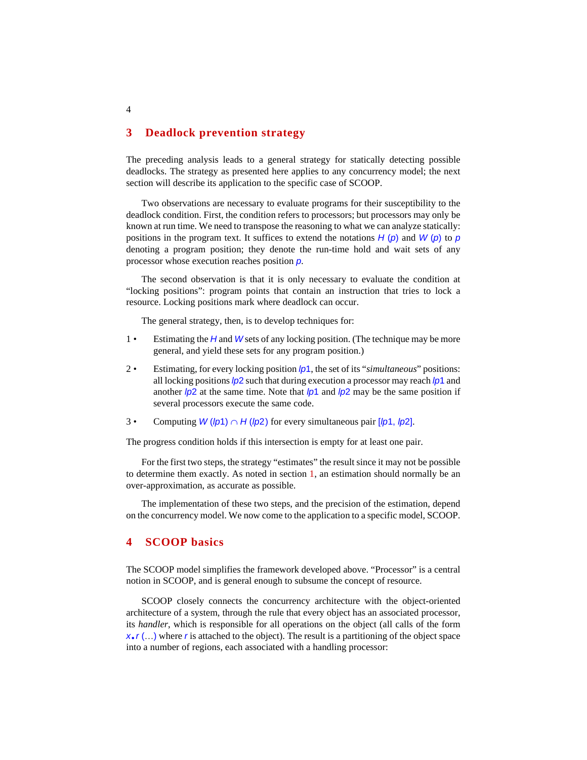## <span id="page-3-0"></span>**3 Deadlock prevention strategy**

The preceding analysis leads to a general strategy for statically detecting possible deadlocks. The strategy as presented here applies to any concurrency model; the next section will describe its application to the specific case of SCOOP.

Two observations are necessary to evaluate programs for their susceptibility to the deadlock condition. First, the condition refers to processors; but processors may only be known at run time. We need to transpose the reasoning to what we can analyze statically: positions in the program text. It suffices to extend the notations *H* (*p*) and *W* (*p*) to *p* denoting a program position; they denote the run-time hold and wait sets of any processor whose execution reaches position *p*.

The second observation is that it is only necessary to evaluate the condition at "locking positions": program points that contain an instruction that tries to lock a resource. Locking positions mark where deadlock can occur.

The general strategy, then, is to develop techniques for:

- 1 Estimating the *H* and *W* sets of any locking position. (The technique may be more general, and yield these sets for any program position.)
- 2 Estimating, for every locking position *lp*1, the set of its "*simultaneous*" positions: all locking positions *lp*2 such that during execution a processor may reach *lp*1 and another *lp*2 at the same time. Note that *lp*1 and *lp*2 may be the same position if several processors execute the same code.
- 3 Computing *W* (*lp*1) ∩ *H* (*lp*2) for every simultaneous pair [*lp*1, *lp*2].

The progress condition holds if this intersection [is](#page-0-0) empty for at least one pair.

For the first two steps, the strategy "estimates" the result since it may not be possible to determine them exactly. As noted in section 1, an estimation should normally be an over-approximation, as accurate as possible.

<span id="page-3-1"></span>The implementation of these two steps, and the precision of the estimation, depend on the concurrency model. We now come to the application to a specific model, SCOOP.

### **4 SCOOP basics**

The SCOOP model simplifies the framework developed above. "Processor" is a central notion in SCOOP, and is general enough to subsume the concept of resource.

SCOOP closely connects the concurrency architecture with the object-oriented architecture of a system, through the rule that every object has an associated processor, its *handler*, which is responsible for all operations on the object (all calls of the form *<sup>x</sup>*.*<sup>r</sup>* (…) where *r* is attached to the object). The result is a partitioning of the object space into a number of regions, each associated with a handling processor: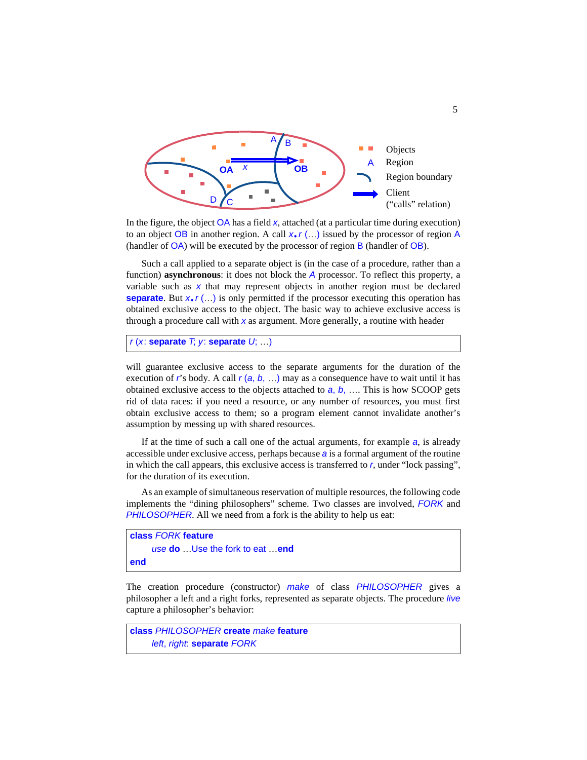

In the figure, the object OA has a field *x*, attached (at a particular time during execution) to an object OB in another region. A call *x*.*r* (…) issued by the processor of region <sup>A</sup> (handler of OA) will be executed by the processor of region B (handler of OB).

Such a call applied to a separate object is (in the case of a procedure, rather than a function) **asynchronous**: it does not block the *A* processor. To reflect this property, a variable such as *x* that may represent objects in another region must be declared **separate**. But  $x \cdot r$  (...) is only permitted if the processor executing this operation has obtained exclusive access to the object. The basic way to achieve exclusive access is through a procedure call with *x* as argument. More generally, a routine with header

```
r (x: separate T; y: separate U; …)
```
will guarantee exclusive access to the separate arguments for the duration of the execution of  $\vec{r}$ 's body. A call  $\vec{r}$  ( $\vec{a}$ ,  $\vec{b}$ , ...) may as a consequence have to wait until it has obtained exclusive access to the objects attached to *a*, *b*, …. This is how SCOOP gets rid of data races: if you need a resource, or any number of resources, you must first obtain exclusive access to them; so a program element cannot invalidate another's assumption by messing up with shared resources.

If at the time of such a call one of the actual arguments, for example *a*, is already accessible under exclusive access, perhaps because *a* is a formal argument of the routine in which the call appears, this exclusive access is transferred to *r*, under "lock passing", for the duration of its execution.

As an example of simultaneous reservation of multiple resources, the following code implements the "dining philosophers" scheme. Two classes are involved, *FORK* and *PHILOSOPHER*. All we need from a fork is the ability to help us eat:

```
class FORK feature
    use do …Use the fork to eat …end
end
```
The creation procedure (constructor) *make* of class *PHILOSOPHER* gives a philosopher a left and a right forks, represented as separate objects. The procedure *live*  capture a philosopher's behavior:

```
class PHILOSOPHER create make feature
    left, right: separate FORK
```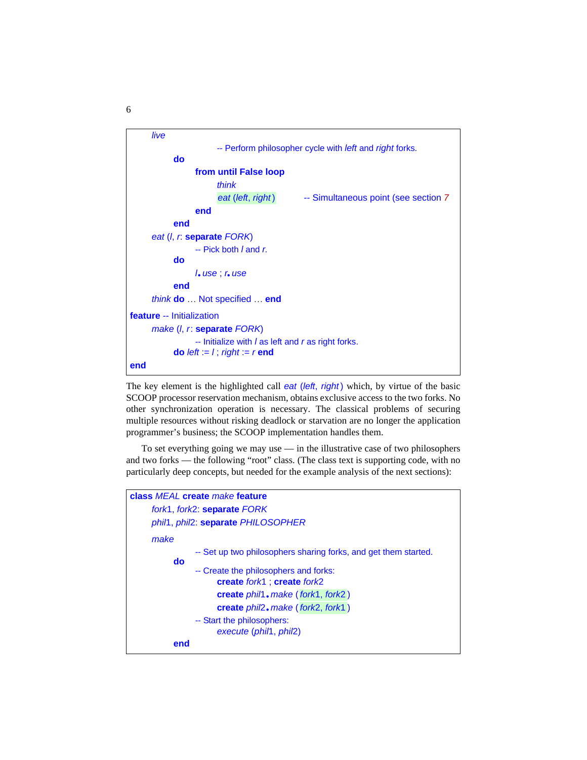

The key element is the highlighted call *eat* (*left*, *right* ) which, by virtue of the basic SCOOP processor reservation mechanism, obtains exclusive access to the two forks. No other synchronization operation is necessary. The classical problems of securing multiple resources without risking deadlock or starvation are no longer the application programmer's business; the SCOOP implementation handles them.

To set everything going we may use — in the illustrative case of two philosophers and two forks — the following "root" class. (The class text is supporting code, with no particularly deep concepts, but needed for the example analysis of the next sections):

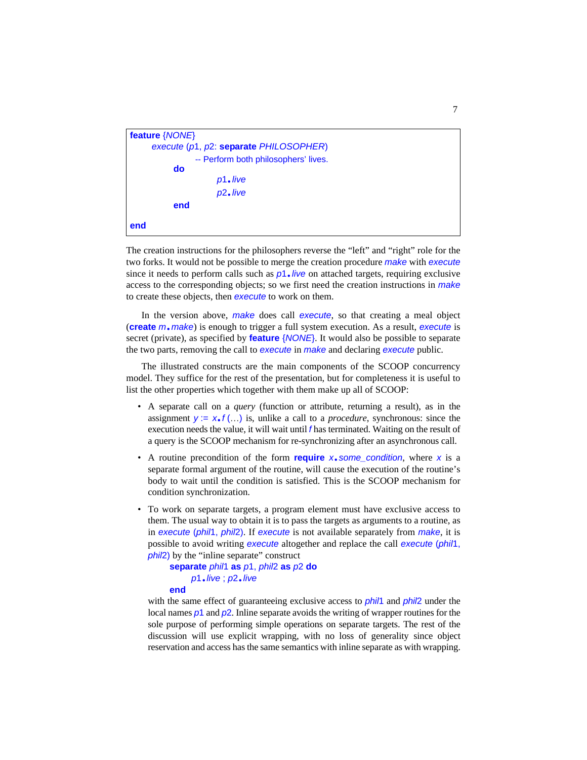```
feature {NONE} 
     execute (p1, p2: separate PHILOSOPHER)
               -- Perform both philosophers' lives.
          do
                     p1.live
                     p2.live
          end
end
```
The creation instructions for the philosophers reverse the "left" and "right" role for the two forks. It would not be possible to merge the creation procedure *make* with *execute*  since it needs to perform calls such as *p*1.*live* on attached targets, requiring exclusive access to the corresponding objects; so we first need the creation instructions in *make* to create these objects, then *execute* to work on them.

In the version above, *make* does call *execute*, so that creating a meal object (**create** *<sup>m</sup>*.*make*) is enough to trigger a full system execution. As a result, *execute* is secret (private), as specified by **feature** {*NONE*}. It would also be possible to separate the two parts, removing the call to *execute* in *make* and declaring *execute* public.

The illustrated constructs are the main components of the SCOOP concurrency model. They suffice for the rest of the presentation, but for completeness it is useful to list the other properties which together with them make up all of SCOOP:

- A separate call on a *query* (function or attribute, returning a result), as in the assignment  $y = x \cdot f(...)$  is, unlike a call to a *procedure*, synchronous: since the execution needs the value, it will wait until *f* has terminated. Waiting on the result of a query is the SCOOP mechanism for re-synchronizing after an asynchronous call.
- A routine precondition of the form **require** *<sup>x</sup>*.*some\_condition*, where *x* is a separate formal argument of the routine, will cause the execution of the routine's body to wait until the condition is satisfied. This is the SCOOP mechanism for condition synchronization.
- To work on separate targets, a program element must have exclusive access to them. The usual way to obtain it is to pass the targets as arguments to a routine, as in *execute* (*phil*1, *phil*2). If *execute* is not available separately from *make*, it is possible to avoid writing *execute* altogether and replace the call *execute* (*phil*1, *phil*2) by the "inline separate" construct

```
separate phil1 as p1, phil2 as p2 do
     p1.live ; p2.live
end
```
with the same effect of guaranteeing exclusive access to *phil*1 and *phil*2 under the local names *p*1 and *p*2. Inline separate avoids the writing of wrapper routines for the sole purpose of performing simple operations on separate targets. The rest of the discussion will use explicit wrapping, with no loss of generality since object reservation and access has the same semantics with inline separate as with wrapping.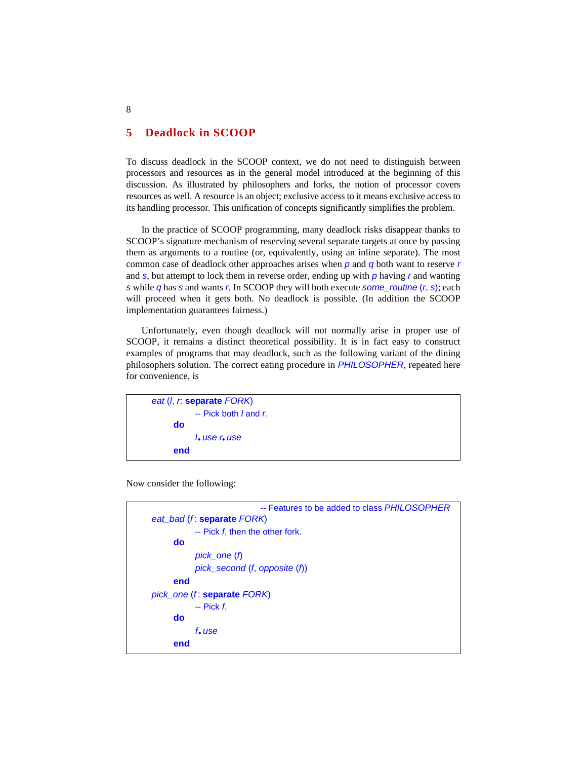# <span id="page-7-0"></span>**5 Deadlock in SCOOP**

To discuss deadlock in the SCOOP context, we do not need to distinguish between processors and resources as in the general model introduced at the beginning of this discussion. As illustrated by philosophers and forks, the notion of processor covers resources as well. A resource is an object; exclusive access to it means exclusive access to its handling processor. This unification of concepts significantly simplifies the problem.

In the practice of SCOOP programming, many deadlock risks disappear thanks to SCOOP's signature mechanism of reserving several separate targets at once by passing them as arguments to a routine (or, equivalently, using an inline separate). The most common case of deadlock other approaches arises when *p* and *q* both want to reserve *r* and *s*, but attempt to lock them in reverse order, ending up with *p* having *r* and wanting *s* while *q* has *s* and wants *r*. In SCOOP they will both execute *some\_routine* (*r*, *s*); each will proceed when it gets both. No deadlock is possible. (In addition the SCOOP implementation guarantees fairness.)

Unfortunately, even though deadlock will not normally arise in proper use of SCOOP, it remains a distinct theoretical possibility. It is in fact easy to construct examples of programs that may deadlock, such as the following variant of the dining philosophers solution. The correct eating procedure in *PHILOSOPHER*, repeated here for convenience, is

```
eat (l, r: separate FORK)
           -- Pick both l and r.
     do
           l.use r.use
     end
```
Now consider the following:

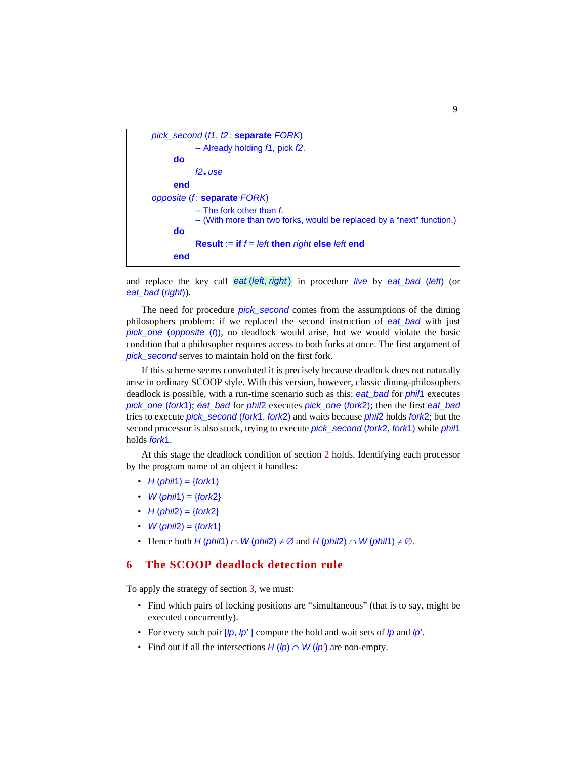

and replace the key call **eat (***left***,** *right***)** in procedure *live* by eat\_bad (*left*) (or *eat\_bad* (*right*)).

The need for procedure *pick\_second* comes from the assumptions of the dining philosophers problem: if we replaced the second instruction of *eat\_bad* with just *pick\_one* (*opposite* (*f*)), no deadlock would arise, but we would violate the basic condition that a philosopher requires access to both forks at once. The first argument of *pick\_second* serves to maintain hold on the first fork.

If this scheme seems convoluted it is precisely because deadlock does not naturally arise in ordinary SCOOP style. With this version, however, classic dining-philosophers deadlock is possible, with a run-time scenario such as this: *eat\_bad* for *phil*1 executes *pick\_one* (*fork*1); *eat\_bad* for *phil*2 executes *pick\_one* (*fork*2); then the first *eat\_bad*  tries to execute *pick\_second* (*fork*1, *fork*2) and waits because *phil*2 holds *fork*2; but the second processor is also stuck, trying to execute *pic[k\\_](#page-1-0)second* (*fork*2, *fork*1) while *phil*1 holds *fork*1.

At this stage the deadlock condition of section 2 holds. Identifying each processor by the program name of an object it handles:

- $H(phi/1) = {fork1}$
- $W(\text{phil1}) = \{\text{fork2}\}\$
- $H (phi2) = {fork2}$
- $W(\text{phi12}) = \{\text{fork1}\}\$
- <span id="page-8-0"></span>• Hence both *H* (*phil*1)  $\cap$  *W* (*phil*2)  $\neq$   $\emptyset$  and *H* (*phil*2)  $\cap$  *W* (*phil*1)  $\neq$   $\emptyset$ .

### **6 The SCOOP deadl[oc](#page-3-0)k detection rule**

To apply the strategy of section 3, we must:

- Find which pairs of locking positions are "simultaneous" (that is to say, might be executed concurrently).
- For every such pair [*lp*, *lp'* ] compute the hold and wait sets of *lp* and *lp'*.
- Find out if all the intersections  $H(\mathsf{I}p) \cap W(\mathsf{I}p')$  are non-empty.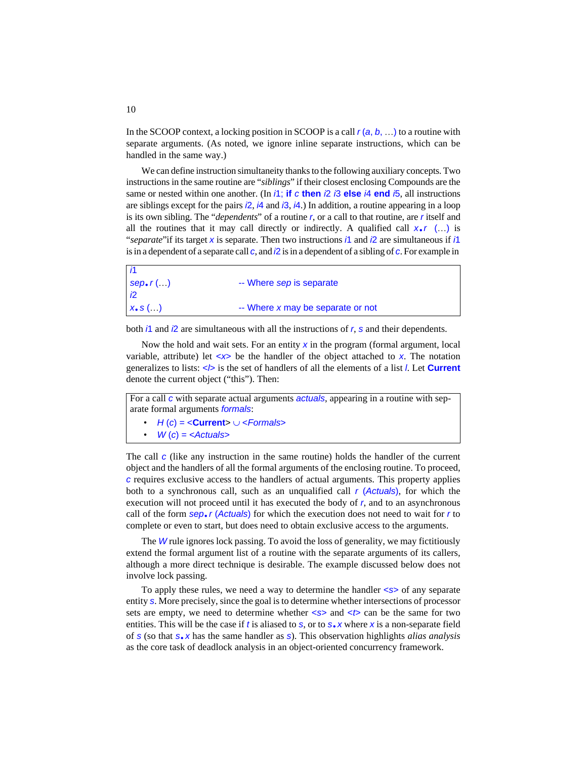In the SCOOP context, a locking position in SCOOP is a call  $r(a, b, \ldots)$  to a routine with separate arguments. (As noted, we ignore inline separate instructions, which can be handled in the same way.)

We can define instruction simultaneity thanks to the following auxiliary concepts. Two instructions in the same routine are "*siblings*" if their closest enclosing Compounds are the same or nested within one another. (In *i*1; **if** *c* **then** *i*2 *i*3 **else** *i*4 **end** *i*5, all instructions are siblings except for the pairs *i*2, *i*4 and *i*3, *i*4.) In addition, a routine appearing in a loop is its own sibling. The "*dependents*" of a routine *r*, or a call to that routine, are *r* itself and all the routines that it may call directly or indirectly. A qualified call  $x, r$  (...) is "*separate*"if its target *x* is separate. Then two instructions *i*1 and *i*2 are simultaneous if *i*1 is in a dependent of a separate call *c*, and *i*2 is in a dependent of a sibling of *c*. For example in

| $sep.r($ ) | -- Where sep is separate          |
|------------|-----------------------------------|
|            |                                   |
| $X.S($     | -- Where x may be separate or not |

both *i*1 and *i*2 are simultaneous with all the instructions of *r*, *s* and their dependents.

Now the hold and wait sets. For an entity  $x$  in the program (formal argument, local variable, attribute) let <*x*> be the handler of the object attached to *x*. The notation generalizes to lists: <*l*> is the set of handlers of all the elements of a list *l*. Let **Current** denote the current object ("this"). Then:

| For a call c with separate actual arguments <i>actuals</i> , appearing in a routine with sep- |
|-----------------------------------------------------------------------------------------------|
| arate formal arguments <i>formals</i> :                                                       |
| • $H(c) = \langle$ <b>Current</b> $> \cup \langle$ <i>- Formals</i>                           |
| • $W(c) = Actuals$                                                                            |

The call *c* (like any instruction in the same routine) holds the handler of the current object and the handlers of all the formal arguments of the enclosing routine. To proceed, *c* requires exclusive access to the handlers of actual arguments. This property applies both to a synchronous call, such as an unqualified call *r* (*Actuals*), for which the execution will not proceed until it has executed the body of *r*, and to an asynchronous call of the form *sep*.*r* (*Actuals*) for which the execution does not need to wait for *r* to complete or even to start, but does need to obtain exclusive access to the arguments.

The *W* rule ignores lock passing. To avoid the loss of generality, we may fictitiously extend the formal argument list of a routine with the separate arguments of its callers, although a more direct technique is desirable. The example discussed below does not involve lock passing.

To apply these rules, we need a way to determine the handler <*s*> of any separate entity *s*. More precisely, since the goal is to determine whether intersections of processor sets are empty, we need to determine whether <*s*> and <*t*> can be the same for two entities. This will be the case if *t* is aliased to *s*, or to *s*.*x* where *x* is a non-separate field of *s* (so that *s*.*x* has the same handler as *s*). This observation highlights *alias analysis* as the core task of deadlock analysis in an object-oriented concurrency framework.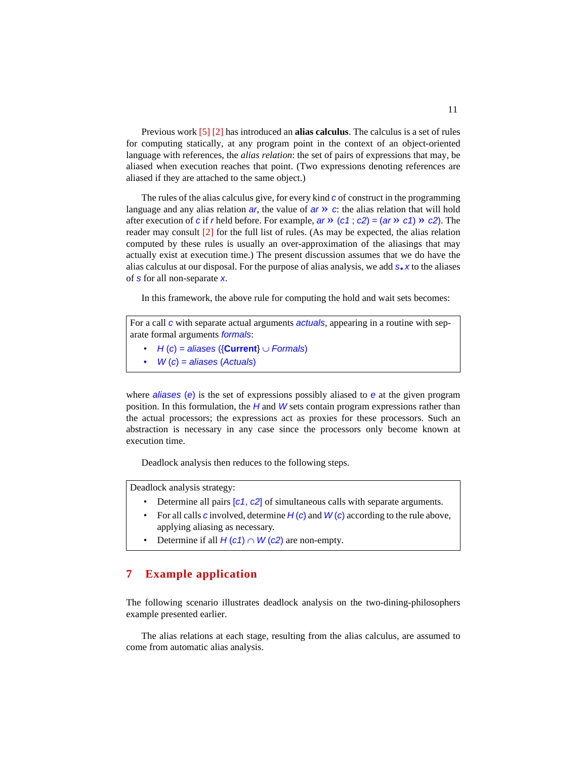Previous work [5] [2] has introduced an **alias calculus**. The calculus is a set of rules for computing statically, at any program point in the context of an object-oriented language with references, the *alias relation*: the set of pairs of expressions that may, be aliased when execution reaches that point. (Two expressions denoting references are aliased if they are attached to the same object.)

The rules of the alias calculus give, for every kind *c* of construct in the programming language and any a[lias](#page-13-3) relation  $ar$ , the value of  $ar \rightarrow cr$ : the alias relation that will hold after execution of *c* if *r* held before. For example,  $ar \rightarrow (c1; c2) = (ar \rightarrow c1) \rightarrow c2$ . The reader may consult [2] for the full list of rules. (As may be expected, the alias relation computed by these rules is usually an over-approximation of the aliasings that may actually exist at execution time.) The present discussion assumes that we do have the alias calculus at our disposal. For the purpose of alias analysis, we add *s*.*x* to the aliases of *s* for all non-separate *x*.

In this framework, the above rule for computing the hold and wait sets becomes:

For a call *c* with separate actual arguments *actuals*, appearing in a routine with separate formal arguments *formals*:

- *H* (*c*) = *aliases* ({**Current**} ∪ *Formals*)
- *W* (*c*) = *aliases* (*Actuals*)

where *aliases* (*e*) is the set of expressions possibly aliased to *e* at the given program position. In this formulation, the *H* and *W* sets contain program expressions rather than the actual processors; the expressions act as proxies for these processors. Such an abstraction is necessary in any case since the processors only become known at execution time.

Deadlock analysis then reduces to the following steps.

Deadlock analysis strategy:

- Determine all pairs [*c1*, *c2*] of simultaneous calls with separate arguments.
- For all calls *c* involved, determine *H* (*c*) and *W* (*c*) according to the rule above, applying aliasing as necessary.
- <span id="page-10-0"></span>Determine if all  $H(c1) \cap W(c2)$  are non-empty.

### **7 Example application**

The following scenario illustrates deadlock analysis on the two-dining-philosophers example presented earlier.

The alias relations at each stage, resulting from the alias calculus, are assumed to come from automatic alias analysis.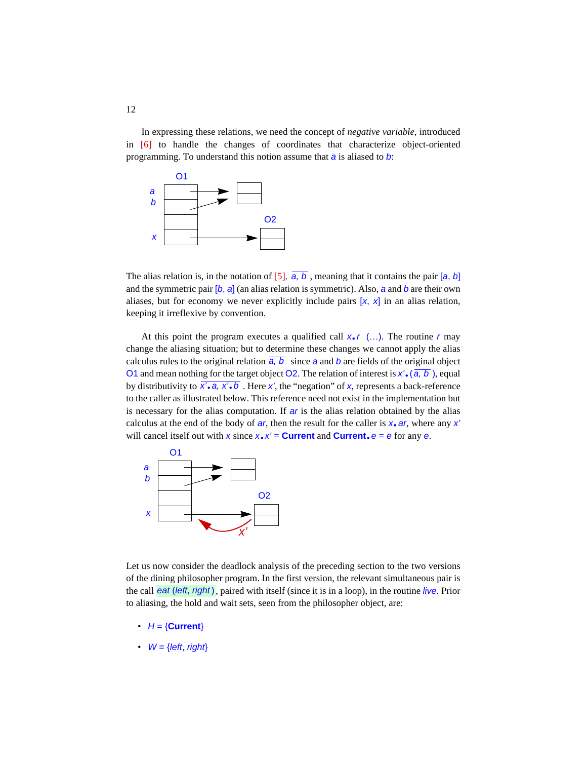[In](#page-13-4) expressing these relations, we need the concept of *negative variable*, introduced in [6] to handle the changes of coordinates that characterize object-oriented programming. To understand this notion assume that *a* is aliased to *b*:



The alias relation is, in the notation of [5],  $\overline{a}$ ,  $\overline{b}$ , meaning that it contains the pair  $[a, b]$ and the symmetric pair [*b*, *a*] (an alias relation is symmetric). Also, *a* and *b* are their own aliases, but for economy we never explicitly include pairs [*x*, *x*] in an alias relation, keeping it irreflexive by convention.

At this point the program executes a qualified call *x*.*r* (…). The routine *r* may change the aliasing situation; but to determine these changes we cannot apply the alias calculus rules to the original relation  $\overline{a}$ ,  $\overline{b}$  since  $\overline{a}$  and  $\overline{b}$  are fields of the original object calculus rules to the original relation  $\vec{a}$ ,  $\vec{b}$  since  $\vec{a}$  and  $\vec{b}$  are riefus of the original object  $\vec{b}$  and mean nothing for the target object  $\vec{b}$ . The relation of interest is  $\vec{x'}$ .  $(\vec{a}, \vec{b})$ by distributivity to  $\overline{x'}.a, \overline{x'}.b$ . Here  $\overline{x'}$ , the "negation" of  $\overline{x}$ , represents a back-reference by distributivity to  $\overline{x'}.a, \overline{x'}.b$ . Here  $\overline{x'}$ , the "negation" of  $\overline{x}$ , represents a back-reference to the caller as illustrated below. This reference need not exist in the implementation but is necessary for the alias computation. If *ar* is the alias relation obtained by the alias calculus at the end of the body of *ar*, then the result for the caller is *x*.*ar*, where any *x'*  will cancel itself out with  $x \text{ since } x \cdot x' =$  **Current** and **Current**.  $e = e$  for any  $e$ .



Let us now consider the deadlock analysis of the preceding section to the two versions of the dining philosopher program. In the first version, the relevant simultaneous pair is the call eat (left, right), paired with itself (since it is in a loop), in the routine *live*. Prior to aliasing, the hold and wait sets, seen from the philosopher object, are:

- $H = \{Current\}$
- $W = \{left, right, right\}$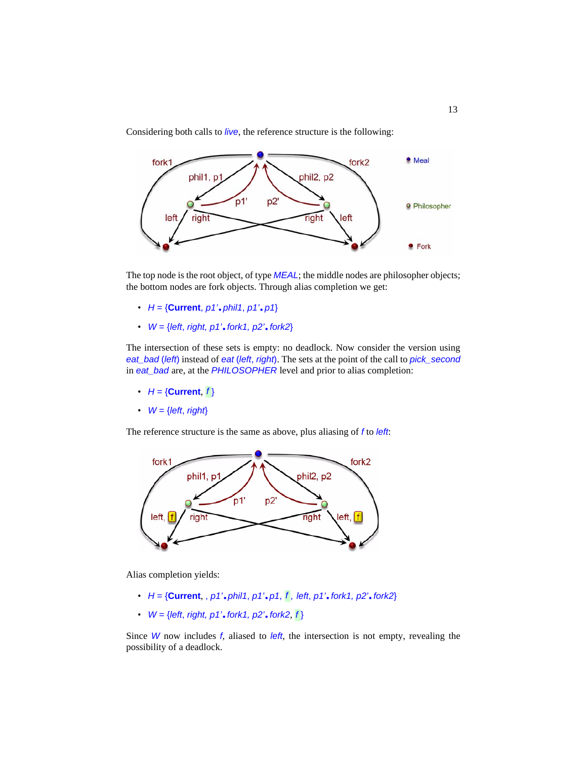Considering both calls to *live*, the reference structure is the following:



The top node is the root object, of type *MEAL*; the middle nodes are philosopher objects; the bottom nodes are fork objects. Through alias completion we get:

- *<sup>H</sup>*<sup>=</sup> {**Current**, *p1'*.*phil1*, *p1'*.*p1*}
- *<sup>W</sup>*<sup>=</sup> {*left*, *right, p1'*.*fork1, p2'*.*fork2*}

The intersection of these sets is empty: no deadlock. Now consider the version using *eat\_bad* (*left*) instead of *eat* (*left*, *right*). The sets at the point of the call to *pick\_second* in *eat\_bad* are, at the *PHILOSOPHER* level and prior to alias completion:

- $H = \{Current, f\}$
- $W = \{left, right, right\}$

The reference structure is the same as above, plus aliasing of *f* to *left*:



Alias completion yields:

- *<sup>H</sup>*<sup>=</sup> {**Current**, , *p1'*.*phil1*, *p1'*.*p1*, , *left*, *p1'*.*fork1, p2'*.*fork2*} *f*
- $W = \{left, right, right, p1', fork1, p2', fork2, f\}$

Since *W* now includes *f*, aliased to *left*, the intersection is not empty, revealing the possibility of a deadlock.